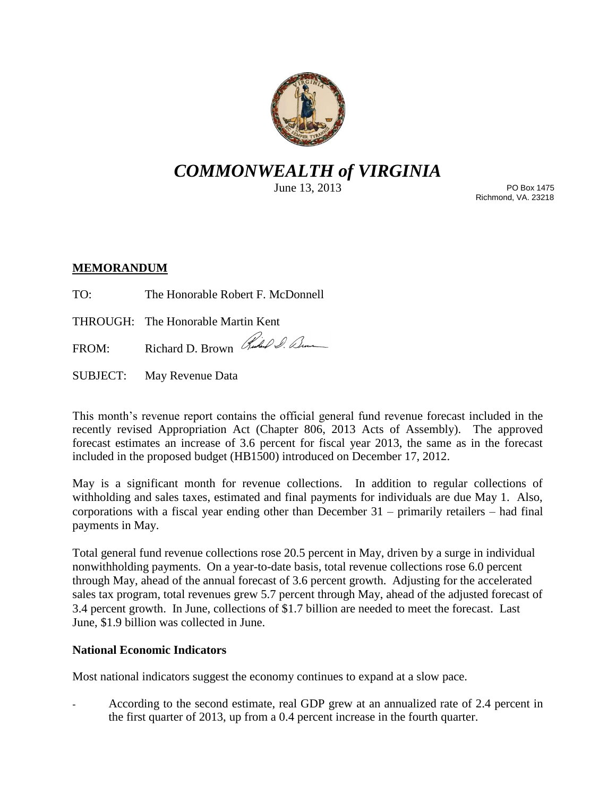

# *COMMONWEALTH of VIRGINIA*

June 13, 2013

PO Box 1475 Richmond, VA. 23218

## **MEMORANDUM**

TO: The Honorable Robert F. McDonnell

THROUGH: The Honorable Martin Kent

FROM: Richard D. Brown Ruchel S. Denne

SUBJECT: May Revenue Data

This month's revenue report contains the official general fund revenue forecast included in the recently revised Appropriation Act (Chapter 806, 2013 Acts of Assembly). The approved forecast estimates an increase of 3.6 percent for fiscal year 2013, the same as in the forecast included in the proposed budget (HB1500) introduced on December 17, 2012.

May is a significant month for revenue collections. In addition to regular collections of withholding and sales taxes, estimated and final payments for individuals are due May 1. Also, corporations with a fiscal year ending other than December 31 – primarily retailers – had final payments in May.

Total general fund revenue collections rose 20.5 percent in May, driven by a surge in individual nonwithholding payments. On a year-to-date basis, total revenue collections rose 6.0 percent through May, ahead of the annual forecast of 3.6 percent growth. Adjusting for the accelerated sales tax program, total revenues grew 5.7 percent through May, ahead of the adjusted forecast of 3.4 percent growth. In June, collections of \$1.7 billion are needed to meet the forecast. Last June, \$1.9 billion was collected in June.

## **National Economic Indicators**

Most national indicators suggest the economy continues to expand at a slow pace.

According to the second estimate, real GDP grew at an annualized rate of 2.4 percent in the first quarter of 2013, up from a 0.4 percent increase in the fourth quarter.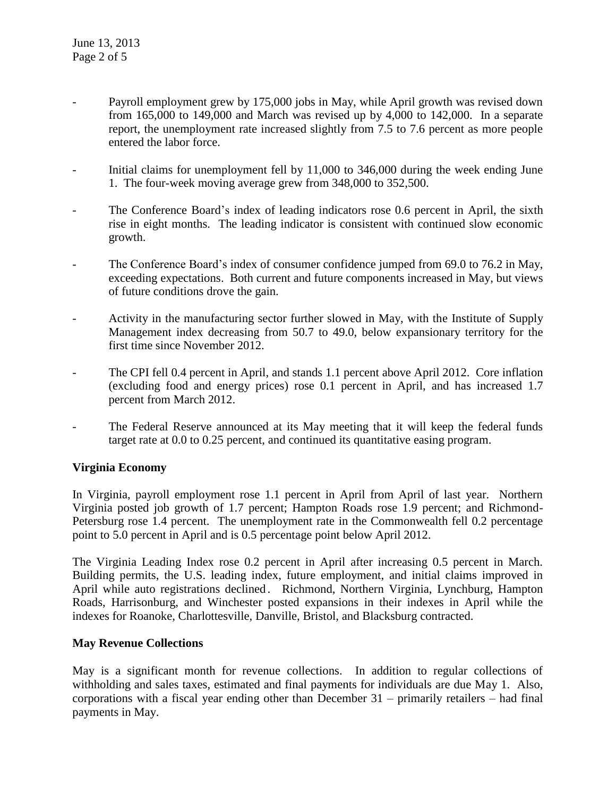- Payroll employment grew by 175,000 jobs in May, while April growth was revised down from 165,000 to 149,000 and March was revised up by 4,000 to 142,000. In a separate report, the unemployment rate increased slightly from 7.5 to 7.6 percent as more people entered the labor force.
- Initial claims for unemployment fell by 11,000 to 346,000 during the week ending June 1. The four-week moving average grew from 348,000 to 352,500.
- The Conference Board's index of leading indicators rose 0.6 percent in April, the sixth rise in eight months. The leading indicator is consistent with continued slow economic growth.
- The Conference Board's index of consumer confidence jumped from 69.0 to 76.2 in May, exceeding expectations. Both current and future components increased in May, but views of future conditions drove the gain.
- Activity in the manufacturing sector further slowed in May, with the Institute of Supply Management index decreasing from 50.7 to 49.0, below expansionary territory for the first time since November 2012.
- The CPI fell 0.4 percent in April, and stands 1.1 percent above April 2012. Core inflation (excluding food and energy prices) rose 0.1 percent in April, and has increased 1.7 percent from March 2012.
- The Federal Reserve announced at its May meeting that it will keep the federal funds target rate at 0.0 to 0.25 percent, and continued its quantitative easing program.

## **Virginia Economy**

In Virginia, payroll employment rose 1.1 percent in April from April of last year. Northern Virginia posted job growth of 1.7 percent; Hampton Roads rose 1.9 percent; and Richmond-Petersburg rose 1.4 percent. The unemployment rate in the Commonwealth fell 0.2 percentage point to 5.0 percent in April and is 0.5 percentage point below April 2012.

The Virginia Leading Index rose 0.2 percent in April after increasing 0.5 percent in March. Building permits, the U.S. leading index, future employment, and initial claims improved in April while auto registrations declined. Richmond, Northern Virginia, Lynchburg, Hampton Roads, Harrisonburg, and Winchester posted expansions in their indexes in April while the indexes for Roanoke, Charlottesville, Danville, Bristol, and Blacksburg contracted.

### **May Revenue Collections**

May is a significant month for revenue collections. In addition to regular collections of withholding and sales taxes, estimated and final payments for individuals are due May 1. Also, corporations with a fiscal year ending other than December 31 – primarily retailers – had final payments in May.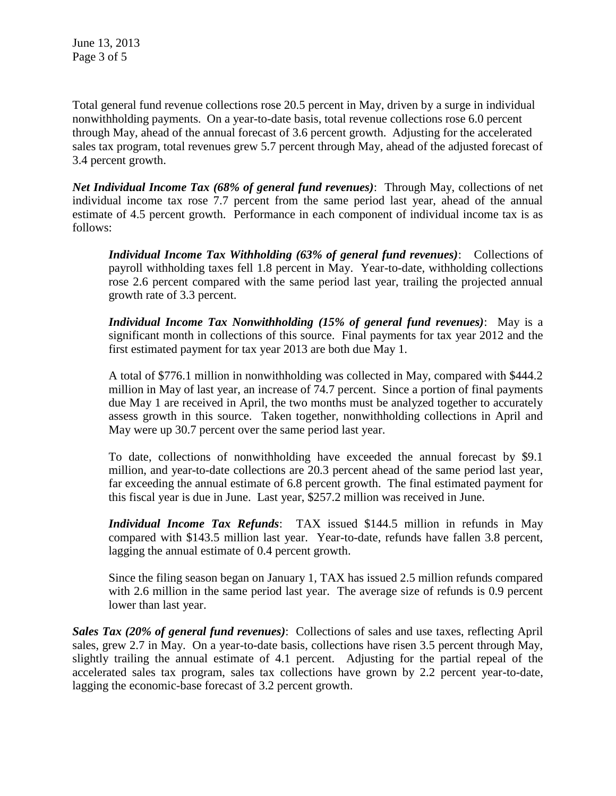June 13, 2013 Page 3 of 5

Total general fund revenue collections rose 20.5 percent in May, driven by a surge in individual nonwithholding payments. On a year-to-date basis, total revenue collections rose 6.0 percent through May, ahead of the annual forecast of 3.6 percent growth. Adjusting for the accelerated sales tax program, total revenues grew 5.7 percent through May, ahead of the adjusted forecast of 3.4 percent growth.

*Net Individual Income Tax (68% of general fund revenues)*: Through May, collections of net individual income tax rose 7.7 percent from the same period last year, ahead of the annual estimate of 4.5 percent growth. Performance in each component of individual income tax is as follows:

*Individual Income Tax Withholding (63% of general fund revenues)*: Collections of payroll withholding taxes fell 1.8 percent in May. Year-to-date, withholding collections rose 2.6 percent compared with the same period last year, trailing the projected annual growth rate of 3.3 percent.

*Individual Income Tax Nonwithholding (15% of general fund revenues)*: May is a significant month in collections of this source. Final payments for tax year 2012 and the first estimated payment for tax year 2013 are both due May 1.

A total of \$776.1 million in nonwithholding was collected in May, compared with \$444.2 million in May of last year, an increase of 74.7 percent. Since a portion of final payments due May 1 are received in April, the two months must be analyzed together to accurately assess growth in this source. Taken together, nonwithholding collections in April and May were up 30.7 percent over the same period last year.

To date, collections of nonwithholding have exceeded the annual forecast by \$9.1 million, and year-to-date collections are 20.3 percent ahead of the same period last year, far exceeding the annual estimate of 6.8 percent growth. The final estimated payment for this fiscal year is due in June. Last year, \$257.2 million was received in June.

*Individual Income Tax Refunds*: TAX issued \$144.5 million in refunds in May compared with \$143.5 million last year. Year-to-date, refunds have fallen 3.8 percent, lagging the annual estimate of 0.4 percent growth.

Since the filing season began on January 1, TAX has issued 2.5 million refunds compared with 2.6 million in the same period last year. The average size of refunds is 0.9 percent lower than last year.

*Sales Tax (20% of general fund revenues)*: Collections of sales and use taxes, reflecting April sales, grew 2.7 in May. On a year-to-date basis, collections have risen 3.5 percent through May, slightly trailing the annual estimate of 4.1 percent. Adjusting for the partial repeal of the accelerated sales tax program, sales tax collections have grown by 2.2 percent year-to-date, lagging the economic-base forecast of 3.2 percent growth.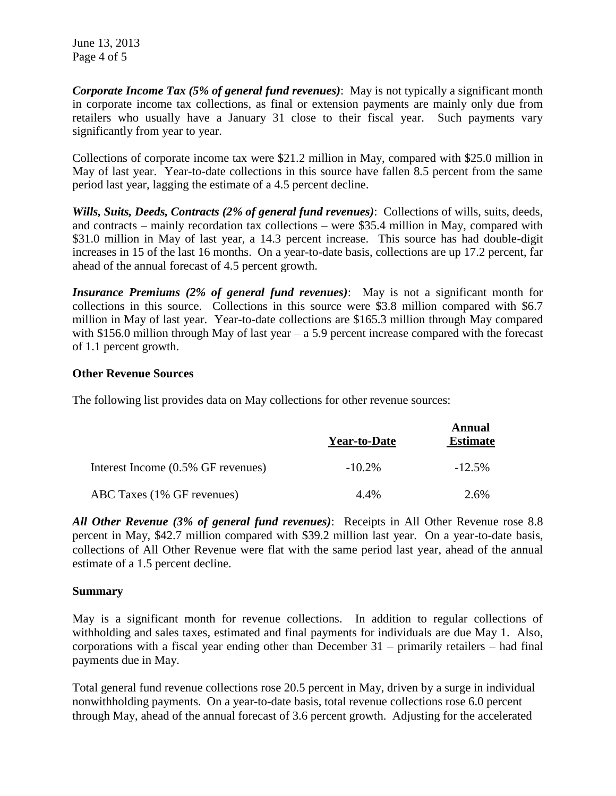June 13, 2013 Page 4 of 5

*Corporate Income Tax (5% of general fund revenues)*: May is not typically a significant month in corporate income tax collections, as final or extension payments are mainly only due from retailers who usually have a January 31 close to their fiscal year. Such payments vary significantly from year to year.

Collections of corporate income tax were \$21.2 million in May, compared with \$25.0 million in May of last year. Year-to-date collections in this source have fallen 8.5 percent from the same period last year, lagging the estimate of a 4.5 percent decline.

*Wills, Suits, Deeds, Contracts (2% of general fund revenues)*: Collections of wills, suits, deeds, and contracts – mainly recordation tax collections – were \$35.4 million in May, compared with \$31.0 million in May of last year, a 14.3 percent increase. This source has had double-digit increases in 15 of the last 16 months. On a year-to-date basis, collections are up 17.2 percent, far ahead of the annual forecast of 4.5 percent growth.

*Insurance Premiums (2% of general fund revenues)*: May is not a significant month for collections in this source. Collections in this source were \$3.8 million compared with \$6.7 million in May of last year. Year-to-date collections are \$165.3 million through May compared with \$156.0 million through May of last year  $- a 5.9$  percent increase compared with the forecast of 1.1 percent growth.

### **Other Revenue Sources**

The following list provides data on May collections for other revenue sources:

|                                    | <b>Year-to-Date</b> | Annual<br><b>Estimate</b> |
|------------------------------------|---------------------|---------------------------|
| Interest Income (0.5% GF revenues) | $-10.2\%$           | $-12.5%$                  |
| ABC Taxes (1% GF revenues)         | 4.4%                | 2.6%                      |

*All Other Revenue (3% of general fund revenues)*: Receipts in All Other Revenue rose 8.8 percent in May, \$42.7 million compared with \$39.2 million last year. On a year-to-date basis, collections of All Other Revenue were flat with the same period last year, ahead of the annual estimate of a 1.5 percent decline.

### **Summary**

May is a significant month for revenue collections. In addition to regular collections of withholding and sales taxes, estimated and final payments for individuals are due May 1. Also, corporations with a fiscal year ending other than December 31 – primarily retailers – had final payments due in May.

Total general fund revenue collections rose 20.5 percent in May, driven by a surge in individual nonwithholding payments. On a year-to-date basis, total revenue collections rose 6.0 percent through May, ahead of the annual forecast of 3.6 percent growth. Adjusting for the accelerated